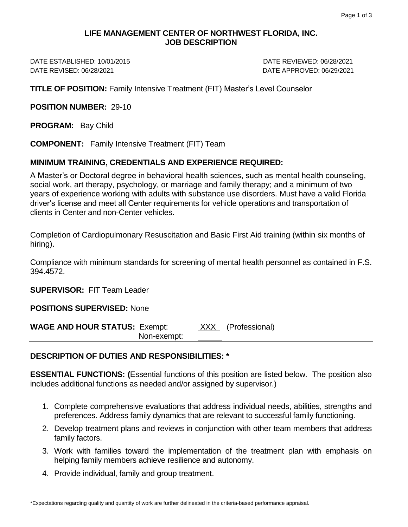## **LIFE MANAGEMENT CENTER OF NORTHWEST FLORIDA, INC. JOB DESCRIPTION**

DATE ESTABLISHED: 10/01/2015 DATE REVIEWED: 06/28/2021 DATE REVISED: 06/28/2021 DATE APPROVED: 06/29/2021

**TITLE OF POSITION:** Family Intensive Treatment (FIT) Master's Level Counselor

**POSITION NUMBER:** 29-10

**PROGRAM:** Bay Child

**COMPONENT:** Family Intensive Treatment (FIT) Team

#### **MINIMUM TRAINING, CREDENTIALS AND EXPERIENCE REQUIRED:**

A Master's or Doctoral degree in behavioral health sciences, such as mental health counseling, social work, art therapy, psychology, or marriage and family therapy; and a minimum of two years of experience working with adults with substance use disorders. Must have a valid Florida driver's license and meet all Center requirements for vehicle operations and transportation of clients in Center and non-Center vehicles.

Completion of Cardiopulmonary Resuscitation and Basic First Aid training (within six months of hiring).

Compliance with minimum standards for screening of mental health personnel as contained in F.S. 394.4572.

**SUPERVISOR:** FIT Team Leader

**POSITIONS SUPERVISED:** None

**WAGE AND HOUR STATUS:** Exempt: XXX (Professional) Non-exempt:

## **DESCRIPTION OF DUTIES AND RESPONSIBILITIES: \***

**ESSENTIAL FUNCTIONS: (**Essential functions of this position are listed below. The position also includes additional functions as needed and/or assigned by supervisor.)

- 1. Complete comprehensive evaluations that address individual needs, abilities, strengths and preferences. Address family dynamics that are relevant to successful family functioning.
- 2. Develop treatment plans and reviews in conjunction with other team members that address family factors.
- 3. Work with families toward the implementation of the treatment plan with emphasis on helping family members achieve resilience and autonomy.
- 4. Provide individual, family and group treatment.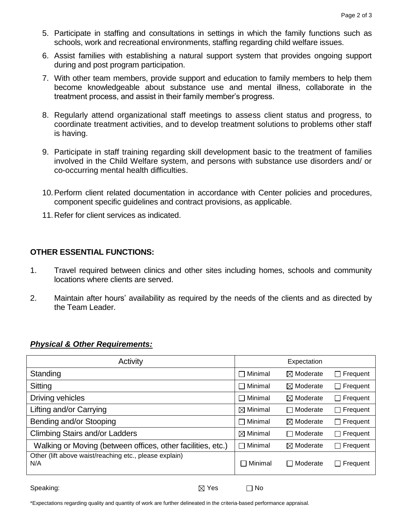- 5. Participate in staffing and consultations in settings in which the family functions such as schools, work and recreational environments, staffing regarding child welfare issues.
- 6. Assist families with establishing a natural support system that provides ongoing support during and post program participation.
- 7. With other team members, provide support and education to family members to help them become knowledgeable about substance use and mental illness, collaborate in the treatment process, and assist in their family member's progress.
- 8. Regularly attend organizational staff meetings to assess client status and progress, to coordinate treatment activities, and to develop treatment solutions to problems other staff is having.
- 9. Participate in staff training regarding skill development basic to the treatment of families involved in the Child Welfare system, and persons with substance use disorders and/ or co-occurring mental health difficulties.
- 10.Perform client related documentation in accordance with Center policies and procedures, component specific guidelines and contract provisions, as applicable.
- 11.Refer for client services as indicated.

# **OTHER ESSENTIAL FUNCTIONS:**

- 1. Travel required between clinics and other sites including homes, schools and community locations where clients are served.
- 2. Maintain after hours' availability as required by the needs of the clients and as directed by the Team Leader.

## *Physical & Other Requirements:*

| Activity                                                      |                     | Expectation          |                     |
|---------------------------------------------------------------|---------------------|----------------------|---------------------|
| Standing                                                      | $\Box$ Minimal      | $\boxtimes$ Moderate | $\Box$ Frequent     |
| Sitting                                                       | $\Box$ Minimal      | $\boxtimes$ Moderate | Frequent<br>$\perp$ |
| Driving vehicles                                              | $\Box$ Minimal      | $\boxtimes$ Moderate | $\Box$ Frequent     |
| Lifting and/or Carrying                                       | $\boxtimes$ Minimal | $\Box$ Moderate      | $\Box$ Frequent     |
| Bending and/or Stooping                                       | $\Box$ Minimal      | $\boxtimes$ Moderate | Frequent<br>$\perp$ |
| <b>Climbing Stairs and/or Ladders</b>                         | $\boxtimes$ Minimal | $\Box$ Moderate      | $\Box$ Frequent     |
| Walking or Moving (between offices, other facilities, etc.)   | $\Box$ Minimal      | $\boxtimes$ Moderate | Frequent<br>$\perp$ |
| Other (lift above waist/reaching etc., please explain)<br>N/A | $\sqcap$ Minimal    | $\Box$ Moderate      | $\Box$ Frequent     |

Speaking:  $\boxtimes$  Yes  $\Box$  No

\*Expectations regarding quality and quantity of work are further delineated in the criteria-based performance appraisal.